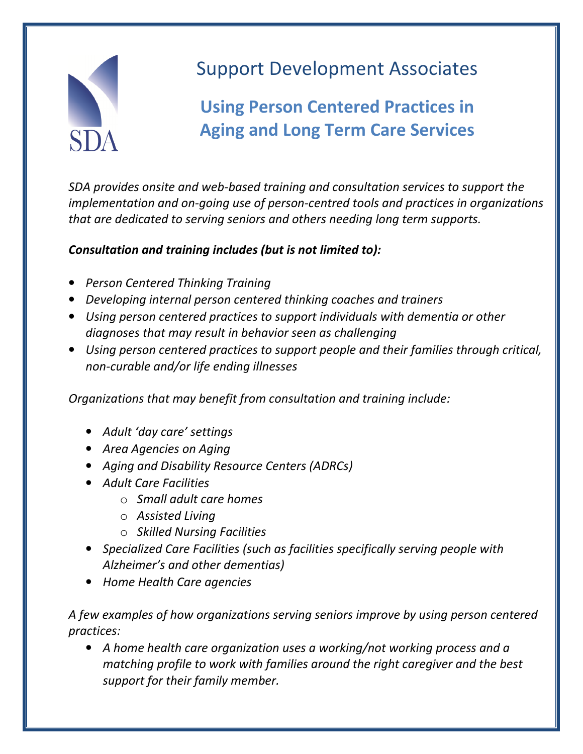

## Support Development Associates

## Using Person Centered Practices in Aging and Long Term Care Services

SDA provides onsite and web-based training and consultation services to support the implementation and on-going use of person-centred tools and practices in organizations that are dedicated to serving seniors and others needing long term supports.

## Consultation and training includes (but is not limited to):

- Person Centered Thinking Training
- Developing internal person centered thinking coaches and trainers
- Using person centered practices to support individuals with dementia or other diagnoses that may result in behavior seen as challenging
- Using person centered practices to support people and their families through critical, non-curable and/or life ending illnesses

Organizations that may benefit from consultation and training include:

- Adult 'day care' settings
- Area Agencies on Aging
- Aging and Disability Resource Centers (ADRCs)
- Adult Care Facilities
	- $\circ$  Small adult care homes
	- o Assisted Living
	- o Skilled Nursing Facilities
- Specialized Care Facilities (such as facilities specifically serving people with Alzheimer's and other dementias)
- Home Health Care agencies

## A few examples of how organizations serving seniors improve by using person centered practices:

• A home health care organization uses a working/not working process and a matching profile to work with families around the right caregiver and the best support for their family member.